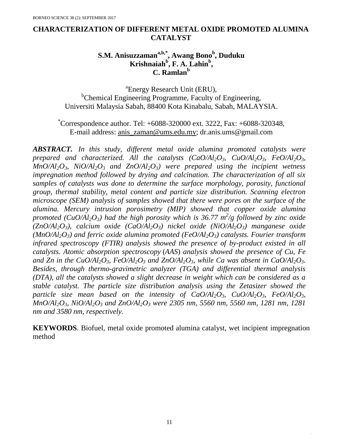### **CHARACTERIZATION OF DIFFERENT METAL OXIDE PROMOTED ALUMINA CATALYST**

## **S.M. Anisuzzamana,b,\*, Awang Bono<sup>b</sup> , Duduku Krishnaiah<sup>b</sup> , F. A. Lahin<sup>b</sup> , C. Ramlan<sup>b</sup>**

a Energy Research Unit (ERU), <sup>b</sup>Chemical Engineering Programme, Faculty of Engineering, Universiti Malaysia Sabah, 88400 Kota Kinabalu, Sabah, MALAYSIA.

 $^*$ Correspondence author. Tel:  $+6088-320000$  ext. 3222, Fax:  $+6088-320348$ , E-mail address: [anis\\_zaman@ums.edu.my;](mailto:anis_zaman@ums.edu.my) dr.anis.ums@gmail.com

*ABSTRACT. In this study, different metal oxide alumina promoted catalysts were prepared and characterized. All the catalysts*  $(CaO/Al_2O_3, CuO/Al_2O_3, FeO/Al_2O_3$  $MnO/Al_2O_3$ ,  $NiO/Al_2O_3$  and  $ZnO/Al_2O_3$  were prepared using the incipient wetness *impregnation method followed by drying and calcination. The characterization of all six samples of catalysts was done to determine the surface morphology, porosity, functional group, thermal stability, metal content and particle size distribution. Scanning electron microscope (SEM) analysis of samples showed that there were pores on the surface of the alumina. Mercury intrusion porosimetry (MIP) showed that copper oxide alumina promoted (CuO/Al2O3) had the high porosity which is 36.77 m<sup>2</sup> /g followed by zinc oxide (ZnO/Al2O3), calcium oxide (CaO/Al2O3) nickel oxide (NiO/Al2O3) manganese oxide (MnO/Al2O3) and ferric oxide alumina promoted (FeO/Al2O3) catalysts. Fourier transform infrared spectroscopy (FTIR) analysis showed the presence of by-product existed in all catalysts. Atomic absorption spectroscopy* (*AAS*) *analysis showed the presence of Cu, Fe*  and Zn in the CuO/Al<sub>2</sub>O<sub>3</sub>, FeO/Al<sub>2</sub>O<sub>3</sub> and ZnO/Al<sub>2</sub>O<sub>3</sub>, while Ca was absent in CaO/Al<sub>2</sub>O<sub>3</sub>. *Besides, through thermo-gravimetric analyzer (TGA) and differential thermal analysis (DTA), all the catalysts showed a slight decrease in weight which can be considered as a stable catalyst. The particle size distribution analysis using the Zetasizer showed the particle size mean based on the intensity of*  $CaO/Al_2O_3$ *,*  $CuO/Al_2O_3$ *,*  $FeO/Al_2O_3$ *, MnO/Al2O3, NiO/Al2O<sup>3</sup> and ZnO/Al2O<sup>3</sup> were 2305 nm, 5560 nm, 5560 nm, 1281 nm, 1281 nm and 3580 nm, respectively.*

**KEYWORDS**. Biofuel, metal oxide promoted alumina catalyst, wet incipient impregnation method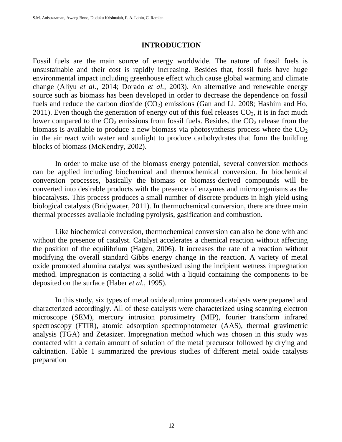#### **INTRODUCTION**

Fossil fuels are the main source of energy worldwide. The nature of fossil fuels is unsustainable and their cost is rapidly increasing. Besides that, fossil fuels have huge environmental impact including greenhouse effect which cause global warming and climate change (Aliyu *et al.,* 2014; Dorado *et al.,* 2003). An alternative and renewable energy source such as biomass has been developed in order to decrease the dependence on fossil fuels and reduce the carbon dioxide  $(CO<sub>2</sub>)$  emissions (Gan and Li, 2008; Hashim and Ho, 2011). Even though the generation of energy out of this fuel releases  $CO<sub>2</sub>$ , it is in fact much lower compared to the  $CO<sub>2</sub>$  emissions from fossil fuels. Besides, the  $CO<sub>2</sub>$  release from the biomass is available to produce a new biomass via photosynthesis process where the  $CO<sub>2</sub>$ in the air react with water and sunlight to produce carbohydrates that form the building blocks of biomass (McKendry, 2002).

In order to make use of the biomass energy potential, several conversion methods can be applied including biochemical and thermochemical conversion. In biochemical conversion processes, basically the biomass or biomass-derived compounds will be converted into desirable products with the presence of enzymes and microorganisms as the biocatalysts. This process produces a small number of discrete products in high yield using biological catalysts (Bridgwater, 2011). In thermochemical conversion, there are three main thermal processes available including pyrolysis, gasification and combustion.

Like biochemical conversion, thermochemical conversion can also be done with and without the presence of catalyst. Catalyst accelerates a chemical reaction without affecting the position of the equilibrium (Hagen, 2006). It increases the rate of a reaction without modifying the overall standard Gibbs energy change in the reaction. A variety of metal oxide promoted alumina catalyst was synthesized using the incipient wetness impregnation method. Impregnation is contacting a solid with a liquid containing the components to be deposited on the surface (Haber *et al.,* 1995).

In this study, six types of metal oxide alumina promoted catalysts were prepared and characterized accordingly. All of these catalysts were characterized using scanning electron microscope (SEM), mercury intrusion porosimetry (MIP), fourier transform infrared spectroscopy (FTIR), atomic adsorption spectrophotometer (AAS), thermal gravimetric analysis (TGA) and Zetasizer. Impregnation method which was chosen in this study was contacted with a certain amount of solution of the metal precursor followed by drying and calcination. Table 1 summarized the previous studies of different metal oxide catalysts preparation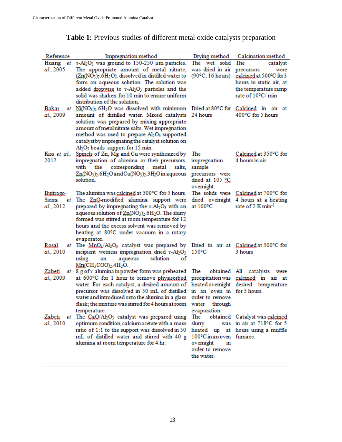| Reference                        | Impregnation method                                                                                                                                                                                                                                                                                                                                                                                      | Drying method                                                                                            | Calcination method                                                                                                   |
|----------------------------------|----------------------------------------------------------------------------------------------------------------------------------------------------------------------------------------------------------------------------------------------------------------------------------------------------------------------------------------------------------------------------------------------------------|----------------------------------------------------------------------------------------------------------|----------------------------------------------------------------------------------------------------------------------|
| Huang                            | et x-Al2O3 was ground to 150-250 um particles.                                                                                                                                                                                                                                                                                                                                                           | The wet solid                                                                                            | The<br>catalyst                                                                                                      |
| al., 2005                        | The appropriate amount of metal nitrate,<br>$(\text{Zn}(\text{NO}_3)_2.6\text{H}_2\text{O})$ , dissolved in distilled water to<br>form an aqueous solution. The solution was<br>added dropwise to v-Al2O3 particles and the<br>solid was shaken for 10 min to ensure uniform<br>distribution of the solution.                                                                                            | was dried in air<br>$(90^{\circ}C, 16 \text{ hours})$                                                    | precursors<br>were<br>calcined at 500°C for 3<br>hours in static air, at<br>the temperature ramp<br>rate of 10°C/min |
| Bakar<br>al., 2009               | et Ni(NO3)2.6H2O was dissolved with minimum Dried at 80°C for Calcined in air at<br>amount of distilled water. Mixed catalysts 24 hours<br>solution was prepared by mixing appropriate<br>amount of metal nitrate salts. Wet impregnation<br>method was used to prepare Al2O3 supported<br>catalyst by impregnating the catalyst solution on<br>Al <sub>2</sub> O <sub>3</sub> beads support for 15 min. |                                                                                                          | 400°C for 5 hours                                                                                                    |
| Kiss et al.,<br>2012             | Spinels of Zn, Mg and Cu were synthesized by<br>impregnation of alumina or their precursors,<br>corresponding metal<br>with<br>the<br>salts.<br>Zn(NO <sub>3</sub> ) <sub>2</sub> .6H <sub>2</sub> O and Cu(NO <sub>3</sub> ) <sub>2</sub> .3H <sub>2</sub> O in a queous<br>solution.                                                                                                                   | The<br>impregnation<br>sample<br>precursors were<br>dried at 105 °C<br>ovemight.                         | Calcined at 350°C for<br>4 hours in air                                                                              |
| Buitrago-<br>Sierra<br>al., 2012 | The alumina was <u>calcined</u> at 500°C for 5 hours.<br>et The ZnQ-modified alumina support were<br>prepared by impregnating the x-Al2O3 with an<br>aqueous solution of Zn(NO <sub>3</sub> ) <sub>2</sub> .6H <sub>2</sub> O. The slurry<br>formed was stirred at room temperature for 12<br>hours and the excess solvent was removed by<br>heating at 80°C under vacuum in a rotary<br>evaporator.     | at $100^{\circ}$ C                                                                                       | The solids were Calcined at 700°C for<br>dried overnight 4 hours at a heating<br>rate of 2 K $min^{-1}$              |
| Rosal<br>et<br>al., 2010         | The $MnQ_x/A_2O_3$ catalyst was prepared by Dried in air at Calcined at 500°C for<br>incipient wetness impregnation dried v-Al2O3<br>using<br>aqueous<br>solution<br>an<br>οf<br>$Mn$ (CH <sub>3</sub> COO) <sub>2</sub> .4H <sub>2</sub> O.                                                                                                                                                             | $150^{\circ}$ C                                                                                          | 3 hours                                                                                                              |
| Zabeti<br>et<br>al., 2009        | 8 g of x-alumina in powder form was preheated<br>at 600°C for 1 hour to remove physisorbed<br>water. For each catalyst, a desired amount of<br>precursor was dissolved in 50 mL of distilled<br>water and introduced onto the alumina in a glass<br>flask; the mixture was stirred for 4 hours at room<br>temperature.                                                                                   | The<br>in an oven in for 5 hours.<br>order to remove<br>water<br>through<br>evaporation.                 | obtained All catalysts were<br>precipitation was calcined in air at<br>heated overnight desired temperature          |
| Zabeti<br>al., 2010              | et The CaQ/Al2O3 catalyst was prepared using<br>optimum condition, calcium a cetate with a mass<br>ratio of 1:1 to the support was dissolved in 50<br>mL of distilled water and stirred with 40 g<br>alumina at room temperature for 4 hr.                                                                                                                                                               | The<br>slurry<br>heated up<br>100°C in an oven fumace.<br>ovemight<br>m<br>order to remove<br>the water. | obtained Catalyst was calcined<br>was in air at 718°C for 5<br>at hours using a muffle                               |

# Table 1: Previous studies of different metal oxide catalysts preparation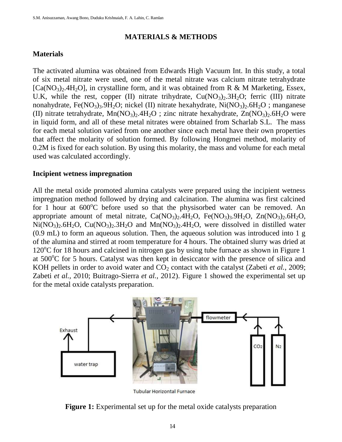### **MATERIALS & METHODS**

### **Materials**

The activated alumina was obtained from Edwards High Vacuum Int. In this study, a total of six metal nitrate were used, one of the metal nitrate was calcium nitrate tetrahydrate  $[Ca(NO<sub>3</sub>)<sub>2</sub>4H<sub>2</sub>O]$ , in crystalline form, and it was obtained from R & M Marketing, Essex, U.K, while the rest, copper (II) nitrate trihydrate,  $Cu(NO<sub>3</sub>)<sub>2</sub>$ . 3H<sub>2</sub>O; ferric (III) nitrate nonahydrate, Fe(NO<sub>3</sub>)<sub>3</sub>.9H<sub>2</sub>O; nickel (II) nitrate hexahydrate, Ni(NO<sub>3</sub>)<sub>2</sub>.6H<sub>2</sub>O ; manganese (II) nitrate tetrahydrate,  $Mn(NO<sub>3</sub>)<sub>2</sub>$ .4H<sub>2</sub>O ; zinc nitrate hexahydrate,  $Zn(NO<sub>3</sub>)<sub>2</sub>$ .6H<sub>2</sub>O were in liquid form, and all of these metal nitrates were obtained from Scharlab S.L. The mass for each metal solution varied from one another since each metal have their own properties that affect the molarity of solution formed. By following Hongmei method, molarity of 0.2M is fixed for each solution. By using this molarity, the mass and volume for each metal used was calculated accordingly.

#### **Incipient wetness impregnation**

All the metal oxide promoted alumina catalysts were prepared using the incipient wetness impregnation method followed by drying and calcination. The alumina was first calcined for 1 hour at  $600^{\circ}$ C before used so that the physisorbed water can be removed. An appropriate amount of metal nitrate,  $Ca(NO<sub>3</sub>)<sub>2</sub>$ .4H<sub>2</sub>O, Fe(NO<sub>3</sub>)<sub>3</sub>.9H<sub>2</sub>O, Zn(NO<sub>3</sub>)<sub>2</sub>.6H<sub>2</sub>O,  $Ni(NO<sub>3</sub>)<sub>2</sub>·6H<sub>2</sub>O$ ,  $Cu(NO<sub>3</sub>)<sub>2</sub>·3H<sub>2</sub>O$  and  $Mn(NO<sub>3</sub>)<sub>2</sub>·4H<sub>2</sub>O$ , were dissolved in distilled water (0.9 mL) to form an aqueous solution. Then, the aqueous solution was introduced into 1 g of the alumina and stirred at room temperature for 4 hours. The obtained slurry was dried at  $120^{\circ}$ C for 18 hours and calcined in nitrogen gas by using tube furnace as shown in Figure 1 at  $500^{\circ}$ C for 5 hours. Catalyst was then kept in desiccator with the presence of silica and KOH pellets in order to avoid water and  $CO<sub>2</sub>$  contact with the catalyst (Zabeti *et al.*, 2009; Zabeti *et al.,* 2010; Buitrago-Sierra *et al.,* 2012). Figure 1 showed the experimental set up for the metal oxide catalysts preparation.



**Tubular Horizontal Furnace** 

**Figure 1:** Experimental set up for the metal oxide catalysts preparation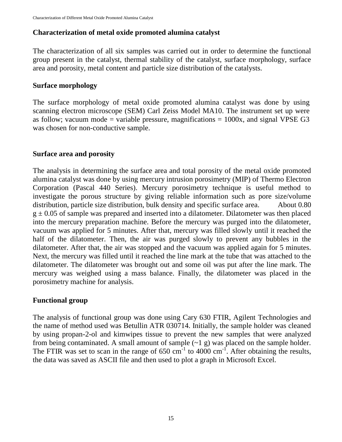## **Characterization of metal oxide promoted alumina catalyst**

The characterization of all six samples was carried out in order to determine the functional group present in the catalyst, thermal stability of the catalyst, surface morphology, surface area and porosity, metal content and particle size distribution of the catalysts.

#### **Surface morphology**

The surface morphology of metal oxide promoted alumina catalyst was done by using scanning electron microscope (SEM) Carl Zeiss Model MA10. The instrument set up were as follow; vacuum mode = variable pressure, magnifications =  $1000x$ , and signal VPSE G3 was chosen for non-conductive sample.

#### **Surface area and porosity**

The analysis in determining the surface area and total porosity of the metal oxide promoted alumina catalyst was done by using mercury intrusion porosimetry (MIP) of Thermo Electron Corporation (Pascal 440 Series). Mercury porosimetry technique is useful method to investigate the porous structure by giving reliable information such as pore size/volume distribution, particle size distribution, bulk density and specific surface area. About 0.80  $g \pm 0.05$  of sample was prepared and inserted into a dilatometer. Dilatometer was then placed into the mercury preparation machine. Before the mercury was purged into the dilatometer, vacuum was applied for 5 minutes. After that, mercury was filled slowly until it reached the half of the dilatometer. Then, the air was purged slowly to prevent any bubbles in the dilatometer. After that, the air was stopped and the vacuum was applied again for 5 minutes. Next, the mercury was filled until it reached the line mark at the tube that was attached to the dilatometer. The dilatometer was brought out and some oil was put after the line mark. The mercury was weighed using a mass balance. Finally, the dilatometer was placed in the porosimetry machine for analysis.

#### **Functional group**

The analysis of functional group was done using Cary 630 FTIR, Agilent Technologies and the name of method used was Betullin ATR 030714. Initially, the sample holder was cleaned by using propan-2-ol and kimwipes tissue to prevent the new samples that were analyzed from being contaminated. A small amount of sample  $(\sim 1 \text{ g})$  was placed on the sample holder. The FTIR was set to scan in the range of  $650 \text{ cm}^{-1}$  to  $4000 \text{ cm}^{-1}$ . After obtaining the results, the data was saved as ASCII file and then used to plot a graph in Microsoft Excel.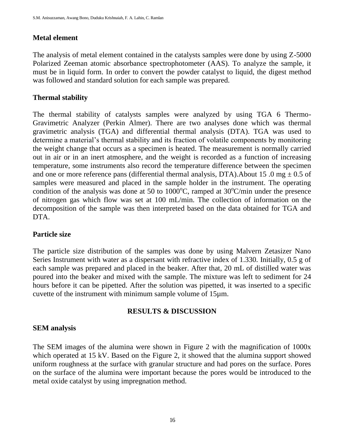## **Metal element**

The analysis of metal element contained in the catalysts samples were done by using Z-5000 Polarized Zeeman atomic absorbance spectrophotometer (AAS). To analyze the sample, it must be in liquid form. In order to convert the powder catalyst to liquid, the digest method was followed and standard solution for each sample was prepared.

### **Thermal stability**

The thermal stability of catalysts samples were analyzed by using TGA 6 Thermo-Gravimetric Analyzer (Perkin Almer). There are two analyses done which was thermal gravimetric analysis (TGA) and differential thermal analysis (DTA). TGA was used to determine a material's thermal stability and its fraction of volatile components by monitoring the weight change that occurs as a specimen is heated. The measurement is normally carried out in air or in an inert atmosphere, and the weight is recorded as a function of increasing temperature, some instruments also record the temperature difference between the specimen and one or more reference pans (differential thermal analysis, DTA). About 15 .0 mg  $\pm$  0.5 of samples were measured and placed in the sample holder in the instrument. The operating condition of the analysis was done at 50 to 1000 $^{\circ}$ C, ramped at 30 $^{\circ}$ C/min under the presence of nitrogen gas which flow was set at 100 mL/min. The collection of information on the decomposition of the sample was then interpreted based on the data obtained for TGA and DTA.

#### **Particle size**

The particle size distribution of the samples was done by using Malvern Zetasizer Nano Series Instrument with water as a dispersant with refractive index of 1.330. Initially, 0.5 g of each sample was prepared and placed in the beaker. After that, 20 mL of distilled water was poured into the beaker and mixed with the sample. The mixture was left to sediment for 24 hours before it can be pipetted. After the solution was pipetted, it was inserted to a specific cuvette of the instrument with minimum sample volume of 15µm.

## **RESULTS & DISCUSSION**

## **SEM analysis**

The SEM images of the alumina were shown in Figure 2 with the magnification of 1000x which operated at 15 kV. Based on the Figure 2, it showed that the alumina support showed uniform roughness at the surface with granular structure and had pores on the surface. Pores on the surface of the alumina were important because the pores would be introduced to the metal oxide catalyst by using impregnation method.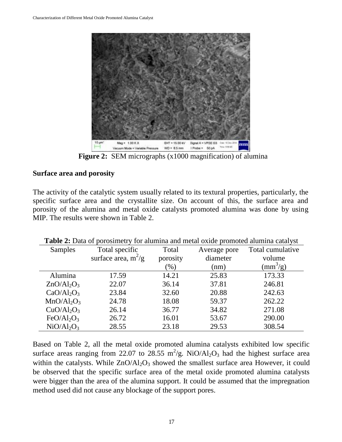

**Figure 2:** SEM micrographs (x1000 magnification) of alumina

#### **Surface area and porosity**

The activity of the catalytic system usually related to its textural properties, particularly, the specific surface area and the crystallite size. On account of this, the surface area and porosity of the alumina and metal oxide catalysts promoted alumina was done by using MIP. The results were shown in Table 2.

| Samples                            | Total specific        | Total    | Average pore | Total cumulative         |
|------------------------------------|-----------------------|----------|--------------|--------------------------|
|                                    | surface area, $m^2/g$ | porosity | diameter     | volume                   |
|                                    |                       | $(\% )$  | (nm)         | $\text{(mm}^3\text{/g)}$ |
| Alumina                            | 17.59                 | 14.21    | 25.83        | 173.33                   |
| $ZnO/Al_2O_3$                      | 22.07                 | 36.14    | 37.81        | 246.81                   |
| CaO/Al <sub>2</sub> O <sub>3</sub> | 23.84                 | 32.60    | 20.88        | 242.63                   |
| $MnO/Al_2O_3$                      | 24.78                 | 18.08    | 59.37        | 262.22                   |
| CuO/Al <sub>2</sub> O <sub>3</sub> | 26.14                 | 36.77    | 34.82        | 271.08                   |
| FeO/Al <sub>2</sub> O <sub>3</sub> | 26.72                 | 16.01    | 53.67        | 290.00                   |
| NiO/Al <sub>2</sub> O <sub>3</sub> | 28.55                 | 23.18    | 29.53        | 308.54                   |

**Table 2:** Data of porosimetry for alumina and metal oxide promoted alumina catalyst

Based on Table 2, all the metal oxide promoted alumina catalysts exhibited low specific surface areas ranging from 22.07 to 28.55  $m^2/g$ . NiO/Al<sub>2</sub>O<sub>3</sub> had the highest surface area within the catalysts. While  $ZnO/Al<sub>2</sub>O<sub>3</sub>$  showed the smallest surface area However, it could be observed that the specific surface area of the metal oxide promoted alumina catalysts were bigger than the area of the alumina support. It could be assumed that the impregnation method used did not cause any blockage of the support pores.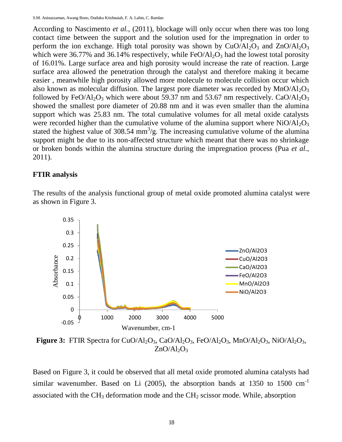According to Nascimento *et al.,* (2011), blockage will only occur when there was too long contact time between the support and the solution used for the impregnation in order to perform the ion exchange. High total porosity was shown by  $CuO/Al<sub>2</sub>O<sub>3</sub>$  and  $ZnO/Al<sub>2</sub>O<sub>3</sub>$ which were 36.77% and 36.14% respectively, while  $FeO/Al<sub>2</sub>O<sub>3</sub>$  had the lowest total porosity of 16.01%. Large surface area and high porosity would increase the rate of reaction. Large surface area allowed the penetration through the catalyst and therefore making it became easier , meanwhile high porosity allowed more molecule to molecule collision occur which also known as molecular diffusion. The largest pore diameter was recorded by  $MnO/Al_2O_3$ followed by FeO/Al<sub>2</sub>O<sub>3</sub> which were about 59.37 nm and 53.67 nm respectively. CaO/Al<sub>2</sub>O<sub>3</sub> showed the smallest pore diameter of 20.88 nm and it was even smaller than the alumina support which was 25.83 nm. The total cumulative volumes for all metal oxide catalysts were recorded higher than the cumulative volume of the alumina support where  $NiO/Al<sub>2</sub>O<sub>3</sub>$ stated the highest value of 308.54  $mm<sup>3</sup>/g$ . The increasing cumulative volume of the alumina support might be due to its non-affected structure which meant that there was no shrinkage or broken bonds within the alumina structure during the impregnation process (Pua *et al.,* 2011).

#### **FTIR analysis**

The results of the analysis functional group of metal oxide promoted alumina catalyst were as shown in Figure 3.



**Figure 3:** FTIR Spectra for CuO/Al<sub>2</sub>O<sub>3</sub>, CaO/Al<sub>2</sub>O<sub>3</sub>, FeO/Al<sub>2</sub>O<sub>3</sub>, MnO/Al<sub>2</sub>O<sub>3</sub>, NiO/Al<sub>2</sub>O<sub>3</sub>,  $ZnO/Al_2O_3$ 

Based on Figure 3, it could be observed that all metal oxide promoted alumina catalysts had similar wavenumber. Based on Li  $(2005)$ , the absorption bands at 1350 to 1500 cm<sup>-1</sup> associated with the  $CH_3$  deformation mode and the  $CH_2$  scissor mode. While, absorption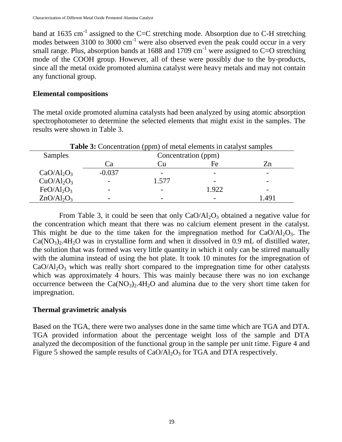band at 1635 cm<sup>-1</sup> assigned to the C=C stretching mode. Absorption due to C-H stretching modes between  $3100 \text{ to } 3000 \text{ cm}^{-1}$  were also observed even the peak could occur in a very small range. Plus, absorption bands at 1688 and 1709 cm<sup>-1</sup> were assigned to C=O stretching mode of the COOH group. However, all of these were possibly due to the by-products, since all the metal oxide promoted alumina catalyst were heavy metals and may not contain any functional group.

#### **Elemental compositions**

The metal oxide promoted alumina catalysts had been analyzed by using atomic absorption spectrophotometer to determine the selected elements that might exist in the samples. The results were shown in Table 3.

| <b>Table 3:</b> Concentration (ppm) of metal elements in catalyst samples |                     |       |       |       |  |  |  |
|---------------------------------------------------------------------------|---------------------|-------|-------|-------|--|--|--|
| Samples                                                                   | Concentration (ppm) |       |       |       |  |  |  |
|                                                                           | . а                 | ∪u    | Fe    | Zn    |  |  |  |
| $CaO/Al_2O_3$                                                             | $-0.037$            |       |       |       |  |  |  |
| CuO/Al <sub>2</sub> O <sub>3</sub>                                        |                     | 1.577 |       |       |  |  |  |
| FeO/Al <sub>2</sub> O <sub>3</sub>                                        |                     |       | 1.922 |       |  |  |  |
| $ZnO/Al_2O_3$                                                             |                     |       |       | l 491 |  |  |  |

From Table 3, it could be seen that only  $CaO/Al<sub>2</sub>O<sub>3</sub>$  obtained a negative value for the concentration which meant that there was no calcium element present in the catalyst. This might be due to the time taken for the impregnation method for  $CaO/Al_2O_3$ . The  $Ca(NO<sub>3</sub>)<sub>2</sub>$ .4H<sub>2</sub>O was in crystalline form and when it dissolved in 0.9 mL of distilled water, the solution that was formed was very little quantity in which it only can be stirred manually with the alumina instead of using the hot plate. It took 10 minutes for the impregnation of  $CaO/A<sub>12</sub>O<sub>3</sub>$  which was really short compared to the impregnation time for other catalysts which was approximately 4 hours. This was mainly because there was no ion exchange occurrence between the  $Ca(NO<sub>3</sub>)<sub>2</sub>$ .4H<sub>2</sub>O and alumina due to the very short time taken for impregnation.

#### **Thermal gravimetric analysis**

Based on the TGA, there were two analyses done in the same time which are TGA and DTA. TGA provided information about the percentage weight loss of the sample and DTA analyzed the decomposition of the functional group in the sample per unit time. Figure 4 and Figure 5 showed the sample results of  $CaO/Al<sub>2</sub>O<sub>3</sub>$  for TGA and DTA respectively.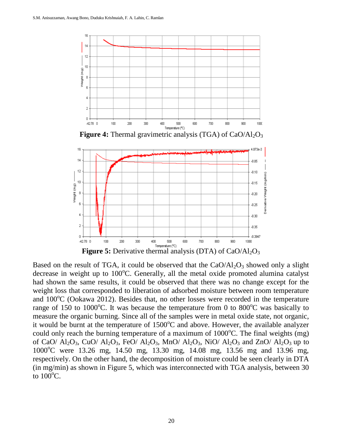

**Figure 4:** Thermal gravimetric analysis (TGA) of CaO/Al<sub>2</sub>O<sub>3</sub>



Based on the result of TGA, it could be observed that the  $CaO/Al_2O_3$  showed only a slight decrease in weight up to  $100^{\circ}$ C. Generally, all the metal oxide promoted alumina catalyst had shown the same results, it could be observed that there was no change except for the weight loss that corresponded to liberation of adsorbed moisture between room temperature and  $100^{\circ}$ C (Ookawa 2012). Besides that, no other losses were recorded in the temperature range of 150 to 1000<sup>o</sup>C. It was because the temperature from 0 to 800<sup>o</sup>C was basically to measure the organic burning. Since all of the samples were in metal oxide state, not organic, it would be burnt at the temperature of  $1500^{\circ}$ C and above. However, the available analyzer could only reach the burning temperature of a maximum of  $1000^{\circ}$ C. The final weights (mg) of CaO/ Al<sub>2</sub>O<sub>3</sub>, CuO/ Al<sub>2</sub>O<sub>3</sub>, FeO/ Al<sub>2</sub>O<sub>3</sub>, MnO/ Al<sub>2</sub>O<sub>3</sub>, NiO/ Al<sub>2</sub>O<sub>3</sub> and ZnO/ Al<sub>2</sub>O<sub>3</sub> up to 1000<sup>o</sup>C were 13.26 mg, 14.50 mg, 13.30 mg, 14.08 mg, 13.56 mg and 13.96 mg, respectively. On the other hand, the decomposition of moisture could be seen clearly in DTA (in mg/min) as shown in Figure 5, which was interconnected with TGA analysis, between 30 to  $100^{\circ}$ C.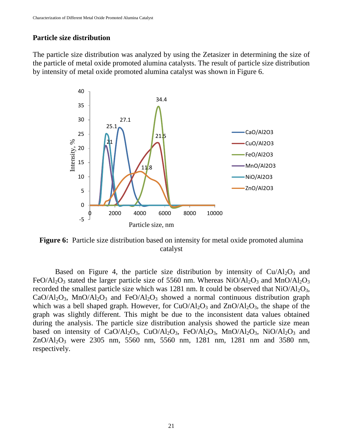### **Particle size distribution**

The particle size distribution was analyzed by using the Zetasizer in determining the size of the particle of metal oxide promoted alumina catalysts. The result of particle size distribution by intensity of metal oxide promoted alumina catalyst was shown in Figure 6.



**Figure 6:** Particle size distribution based on intensity for metal oxide promoted alumina catalyst

Based on Figure 4, the particle size distribution by intensity of  $Cu/Al_2O_3$  and FeO/Al<sub>2</sub>O<sub>3</sub> stated the larger particle size of 5560 nm. Whereas NiO/Al<sub>2</sub>O<sub>3</sub> and MnO/Al<sub>2</sub>O<sub>3</sub> recorded the smallest particle size which was 1281 nm. It could be observed that  $NiO/Al<sub>2</sub>O<sub>3</sub>$ ,  $CaO/Al_2O_3$ , MnO/Al<sub>2</sub>O<sub>3</sub> and FeO/Al<sub>2</sub>O<sub>3</sub> showed a normal continuous distribution graph which was a bell shaped graph. However, for  $CuO/Al<sub>2</sub>O<sub>3</sub>$  and  $ZnO/Al<sub>2</sub>O<sub>3</sub>$ , the shape of the graph was slightly different. This might be due to the inconsistent data values obtained during the analysis. The particle size distribution analysis showed the particle size mean based on intensity of CaO/Al<sub>2</sub>O<sub>3</sub>, CuO/Al<sub>2</sub>O<sub>3</sub>, FeO/Al<sub>2</sub>O<sub>3</sub>, MnO/Al<sub>2</sub>O<sub>3</sub>, NiO/Al<sub>2</sub>O<sub>3</sub> and  $ZnO/Al_2O_3$  were 2305 nm, 5560 nm, 5560 nm, 1281 nm, 1281 nm and 3580 nm, respectively.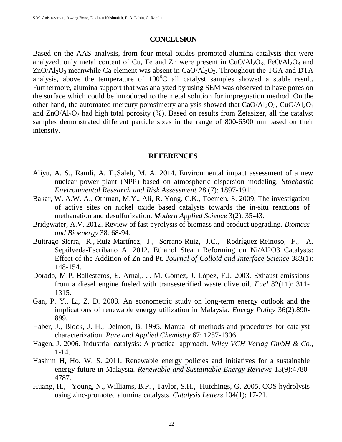#### **CONCLUSION**

Based on the AAS analysis, from four metal oxides promoted alumina catalysts that were analyzed, only metal content of Cu, Fe and Zn were present in  $CuO/AI_2O_3$ , FeO/Al<sub>2</sub>O<sub>3</sub> and  $ZnO/Al_2O_3$  meanwhile Ca element was absent in CaO/Al<sub>2</sub>O<sub>3</sub>. Throughout the TGA and DTA analysis, above the temperature of  $100^{\circ}$ C all catalyst samples showed a stable result. Furthermore, alumina support that was analyzed by using SEM was observed to have pores on the surface which could be introduced to the metal solution for impregnation method. On the other hand, the automated mercury porosimetry analysis showed that  $CaO/Al_2O_3$ ,  $CuO/Al_2O_3$ and  $ZnO/Al_2O_3$  had high total porosity (%). Based on results from Zetasizer, all the catalyst samples demonstrated different particle sizes in the range of 800-6500 nm based on their intensity.

#### **REFERENCES**

- Aliyu, A. S., Ramli, A. T.,Saleh, M. A. 2014. Environmental impact assessment of a new nuclear power plant (NPP) based on atmospheric dispersion modeling. *[Stochastic](https://link.springer.com/journal/477)  [Environmental Research and Risk Assessment](https://link.springer.com/journal/477)* 28 (7): 1897-1911.
- Bakar, W. A.W. A., Othman, M.Y., Ali, R. Yong, C.K., Toemen, S. 2009. The investigation of active sites on nickel oxide based catalysts towards the in-situ reactions of methanation and desulfurization. *Modern Applied Science* 3(2): 35-43.
- Bridgwater, A.V. 2012. Review of fast pyrolysis of biomass and product upgrading. *[Biomass](http://www.sciencedirect.com/science/journal/09619534) and [Bioenergy](http://www.sciencedirect.com/science/journal/09619534)* 38: 68-94.
- Buitrago-Sierra, R., [Ruiz-Martínez,](http://www.sciencedirect.com/science/article/pii/S0021979712006406) J., [Serrano-Ruiz,](http://www.sciencedirect.com/science/article/pii/S0021979712006406) J.C., [Rodríguez-Reinoso,](http://www.sciencedirect.com/science/article/pii/S0021979712006406) F., [A.](http://www.sciencedirect.com/science/article/pii/S0021979712006406) [Sepúlveda-Escribano](http://www.sciencedirect.com/science/article/pii/S0021979712006406) A. 2012. Ethanol Steam Reforming on Ni/Al2O3 Catalysts: Effect of the Addition of Zn and Pt. *Journal of Colloid and [Interface](http://www.sciencedirect.com/science/journal/00219797) Science* 383(1): 148-154.
- Dorado, M.P. Ballesteros, E. Arnal,. J. M. Gómez, J. López, F.J. 2003. Exhaust emissions from a diesel engine fueled with transesterified waste olive oil. *Fuel* 82(11): 311- 1315.
- Gan, P. Y., Li, Z. D. 2008. An econometric study on long-term energy outlook and the implications of renewable energy utilization in Malaysia. *Energy Policy* 36(2):890- 899.
- Haber, J., Block, J. H., Delmon, B. 1995. Manual of methods and procedures for catalyst characterization. *Pure and Applied Chemistry* 67: 1257-1306.
- Hagen, J. 2006. Industrial catalysis: A practical approach. *Wiley-VCH Verlag GmbH & Co.*, 1-14.
- Hashim H, Ho, W. S. 2011. Renewable energy policies and initiatives for a sustainable energy future in Malaysia. *Renewable and [Sustainable](http://www.sciencedirect.com/science/journal/13640321) Energy Reviews* 15(9):4780- 4787.
- Huang, H., Young, N., Williams, B.P. , Taylor, S.H., Hutchings, G. 2005. COS hydrolysis using zinc-promoted alumina catalysts. *Catalysis Letters* 104(1): 17-21.